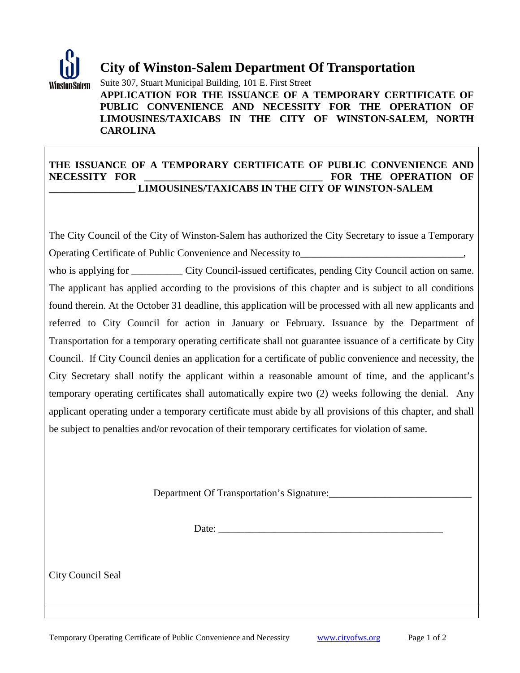

## **City of Winston-Salem Department Of Transportation**

Suite 307, Stuart Municipal Building, 101 E. First Street

**APPLICATION FOR THE ISSUANCE OF A TEMPORARY CERTIFICATE OF PUBLIC CONVENIENCE AND NECESSITY FOR THE OPERATION OF LIMOUSINES/TAXICABS IN THE CITY OF WINSTON-SALEM, NORTH CAROLINA**

## **THE ISSUANCE OF A TEMPORARY CERTIFICATE OF PUBLIC CONVENIENCE AND NECESSITY FOR \_\_\_\_\_\_\_\_\_\_\_\_\_\_\_\_\_\_\_\_\_\_\_\_\_\_\_\_\_\_\_\_\_\_\_ FOR THE OPERATION OF \_\_\_\_\_\_\_\_\_\_\_\_\_\_\_\_\_ LIMOUSINES/TAXICABS IN THE CITY OF WINSTON-SALEM**

The City Council of the City of Winston-Salem has authorized the City Secretary to issue a Temporary Operating Certificate of Public Convenience and Necessity to

who is applying for \_\_\_\_\_\_\_\_\_\_ City Council-issued certificates, pending City Council action on same. The applicant has applied according to the provisions of this chapter and is subject to all conditions found therein. At the October 31 deadline, this application will be processed with all new applicants and referred to City Council for action in January or February. Issuance by the Department of Transportation for a temporary operating certificate shall not guarantee issuance of a certificate by City Council. If City Council denies an application for a certificate of public convenience and necessity, the City Secretary shall notify the applicant within a reasonable amount of time, and the applicant's temporary operating certificates shall automatically expire two (2) weeks following the denial. Any applicant operating under a temporary certificate must abide by all provisions of this chapter, and shall be subject to penalties and/or revocation of their temporary certificates for violation of same.

Department Of Transportation's Signature:

Date:

City Council Seal